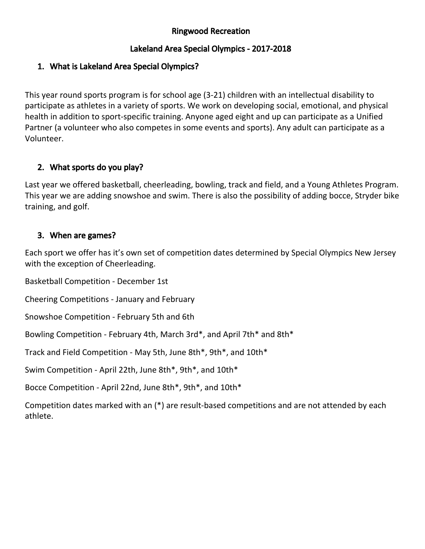## Ringwood Recreation

## Lakeland Area Special Olympics - 2017-2018

## 1. What is Lakeland Area Special Olympics?

This year round sports program is for school age (3-21) children with an intellectual disability to participate as athletes in a variety of sports. We work on developing social, emotional, and physical health in addition to sport-specific training. Anyone aged eight and up can participate as a Unified Partner (a volunteer who also competes in some events and sports). Any adult can participate as a Volunteer.

#### 2. What sports do you play?

Last year we offered basketball, cheerleading, bowling, track and field, and a Young Athletes Program. This year we are adding snowshoe and swim. There is also the possibility of adding bocce, Stryder bike training, and golf.

#### 3. When are games?

Each sport we offer has it's own set of competition dates determined by Special Olympics New Jersey with the exception of Cheerleading.

Basketball Competition - December 1st

Cheering Competitions - January and February

Snowshoe Competition - February 5th and 6th

Bowling Competition - February 4th, March 3rd\*, and April 7th\* and 8th\*

Track and Field Competition - May 5th, June 8th\*, 9th\*, and 10th\*

Swim Competition - April 22th, June 8th\*, 9th\*, and 10th\*

Bocce Competition - April 22nd, June 8th\*, 9th\*, and 10th\*

Competition dates marked with an (\*) are result-based competitions and are not attended by each athlete.